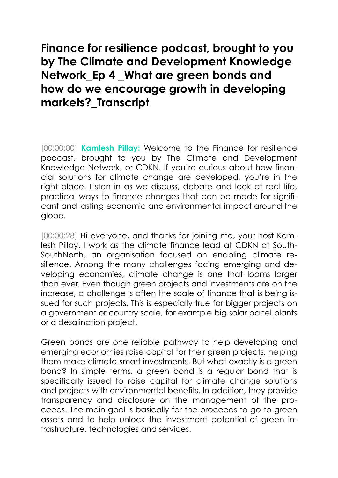## **Finance for resilience podcast, brought to you by The Climate and Development Knowledge Network\_Ep 4 \_What are green bonds and how do we encourage growth in developing markets?\_Transcript**

[00:00:00] **Kamlesh Pillay:** Welcome to the Finance for resilience podcast, brought to you by The Climate and Development Knowledge Network, or CDKN. If you're curious about how financial solutions for climate change are developed, you're in the right place. Listen in as we discuss, debate and look at real life, practical ways to finance changes that can be made for significant and lasting economic and environmental impact around the globe.

[00:00:28] Hi everyone, and thanks for joining me, your host Kamlesh Pillay. I work as the climate finance lead at CDKN at South-SouthNorth, an organisation focused on enabling climate resilience. Among the many challenges facing emerging and developing economies, climate change is one that looms larger than ever. Even though green projects and investments are on the increase, a challenge is often the scale of finance that is being issued for such projects. This is especially true for bigger projects on a government or country scale, for example big solar panel plants or a desalination project.

Green bonds are one reliable pathway to help developing and emerging economies raise capital for their green projects, helping them make climate-smart investments. But what exactly is a green bond? In simple terms, a green bond is a regular bond that is specifically issued to raise capital for climate change solutions and projects with environmental benefits. In addition, they provide transparency and disclosure on the management of the proceeds. The main goal is basically for the proceeds to go to green assets and to help unlock the investment potential of green infrastructure, technologies and services.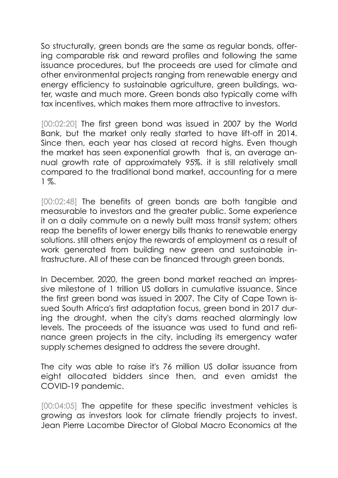So structurally, green bonds are the same as regular bonds, offering comparable risk and reward profiles and following the same issuance procedures, but the proceeds are used for climate and other environmental projects ranging from renewable energy and energy efficiency to sustainable agriculture, green buildings, water, waste and much more. Green bonds also typically come with tax incentives, which makes them more attractive to investors.

[00:02:20] The first green bond was issued in 2007 by the World Bank, but the market only really started to have lift-off in 2014. Since then, each year has closed at record highs. Even though the market has seen exponential growth that is, an average annual growth rate of approximately 95%. it is still relatively small compared to the traditional bond market, accounting for a mere 1 %.

[00:02:48] The benefits of green bonds are both tangible and measurable to investors and the greater public. Some experience it on a daily commute on a newly built mass transit system; others reap the benefits of lower energy bills thanks to renewable energy solutions. still others enjoy the rewards of employment as a result of work generated from building new green and sustainable infrastructure. All of these can be financed through green bonds.

In December, 2020, the green bond market reached an impressive milestone of 1 trillion US dollars in cumulative issuance. Since the first green bond was issued in 2007. The City of Cape Town issued South Africa's first adaptation focus, green bond in 2017 during the drought, when the city's dams reached alarmingly low levels. The proceeds of the issuance was used to fund and refinance green projects in the city, including its emergency water supply schemes designed to address the severe drought.

The city was able to raise it's 76 million US dollar issuance from eight allocated bidders since then, and even amidst the COVID-19 pandemic.

[00:04:05] The appetite for these specific investment vehicles is growing as investors look for climate friendly projects to invest. Jean Pierre Lacombe Director of Global Macro Economics at the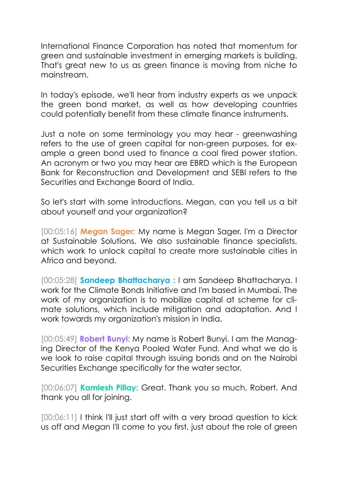International Finance Corporation has noted that momentum for green and sustainable investment in emerging markets is building. That's great new to us as green finance is moving from niche to mainstream.

In today's episode, we'll hear from industry experts as we unpack the green bond market, as well as how developing countries could potentially benefit from these climate finance instruments.

Just a note on some terminology you may hear - greenwashing refers to the use of green capital for non-green purposes, for example a green bond used to finance a coal fired power station. An acronym or two you may hear are EBRD which is the European Bank for Reconstruction and Development and SEBI refers to the Securities and Exchange Board of India.

So let's start with some introductions. Megan, can you tell us a bit about yourself and your organization?

[00:05:16] **Megan Sager:** My name is Megan Sager. I'm a Director at Sustainable Solutions. We also sustainable finance specialists, which work to unlock capital to create more sustainable cities in Africa and beyond.

[00:05:28] **Sandeep Bhattacharya :** I am Sandeep Bhattacharya. I work for the Climate Bonds Initiative and I'm based in Mumbai. The work of my organization is to mobilize capital at scheme for climate solutions, which include mitigation and adaptation. And I work towards my organization's mission in India.

[00:05:49] **Robert Bunyi:** My name is Robert Bunyi. I am the Managing Director of the Kenya Pooled Water Fund. And what we do is we look to raise capital through issuing bonds and on the Nairobi Securities Exchange specifically for the water sector.

[00:06:07] **Kamlesh Pillay:** Great. Thank you so much, Robert. And thank you all for joining.

[00:06:11] I think I'll just start off with a very broad question to kick us off and Megan I'll come to you first, just about the role of green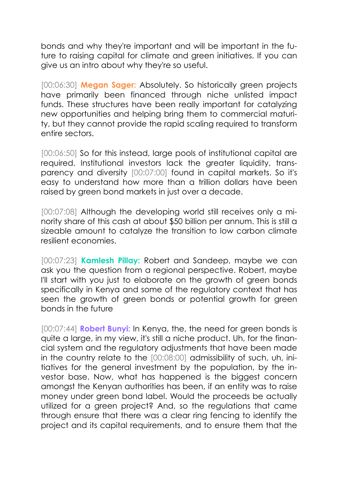bonds and why they're important and will be important in the future to raising capital for climate and green initiatives. If you can give us an intro about why they're so useful.

[00:06:30] **Megan Sager:** Absolutely. So historically green projects have primarily been financed through niche unlisted impact funds. These structures have been really important for catalyzing new opportunities and helping bring them to commercial maturity, but they cannot provide the rapid scaling required to transform entire sectors.

[00:06:50] So for this instead, large pools of institutional capital are required. Institutional investors lack the greater liquidity, transparency and diversity [00:07:00] found in capital markets. So it's easy to understand how more than a trillion dollars have been raised by green bond markets in just over a decade.

[00:07:08] Although the developing world still receives only a minority share of this cash at about \$50 billion per annum. This is still a sizeable amount to catalyze the transition to low carbon climate resilient economies.

[00:07:23] **Kamlesh Pillay:** Robert and Sandeep, maybe we can ask you the question from a regional perspective. Robert, maybe I'll start with you just to elaborate on the growth of green bonds specifically in Kenya and some of the regulatory context that has seen the growth of green bonds or potential growth for green bonds in the future

[00:07:44] **Robert Bunyi:** In Kenya, the, the need for green bonds is quite a large, in my view, it's still a niche product. Uh, for the financial system and the regulatory adjustments that have been made in the country relate to the [00:08:00] admissibility of such, uh, initiatives for the general investment by the population, by the investor base. Now, what has happened is the biggest concern amongst the Kenyan authorities has been, if an entity was to raise money under green bond label. Would the proceeds be actually utilized for a green project? And, so the regulations that came through ensure that there was a clear ring fencing to identify the project and its capital requirements, and to ensure them that the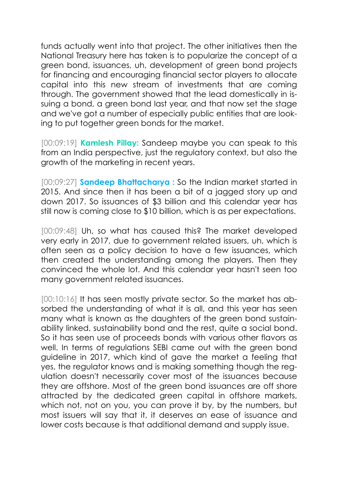funds actually went into that project. The other initiatives then the National Treasury here has taken is to popularize the concept of a green bond, issuances, uh, development of green bond projects for financing and encouraging financial sector players to allocate capital into this new stream of investments that are coming through. The government showed that the lead domestically in issuing a bond, a green bond last year, and that now set the stage and we've got a number of especially public entities that are looking to put together green bonds for the market.

[00:09:19] **Kamlesh Pillay:** Sandeep maybe you can speak to this from an India perspective, just the regulatory context, but also the growth of the marketing in recent years.

[00:09:27] **Sandeep Bhattacharya :** So the Indian market started in 2015. And since then it has been a bit of a jagged story up and down 2017. So issuances of \$3 billion and this calendar year has still now is coming close to \$10 billion, which is as per expectations.

[00:09:48] Uh, so what has caused this? The market developed very early in 2017, due to government related issuers, uh, which is often seen as a policy decision to have a few issuances, which then created the understanding among the players. Then they convinced the whole lot. And this calendar year hasn't seen too many government related issuances.

[00:10:16] It has seen mostly private sector. So the market has absorbed the understanding of what it is all, and this year has seen many what is known as the daughters of the green bond sustainability linked, sustainability bond and the rest, quite a social bond. So it has seen use of proceeds bonds with various other flavors as well. In terms of regulations SEBI came out with the green bond guideline in 2017, which kind of gave the market a feeling that yes, the regulator knows and is making something though the regulation doesn't necessarily cover most of the issuances because they are offshore. Most of the green bond issuances are off shore attracted by the dedicated green capital in offshore markets, which not, not on you, you can prove it by, by the numbers, but most issuers will say that it, it deserves an ease of issuance and lower costs because is that additional demand and supply issue.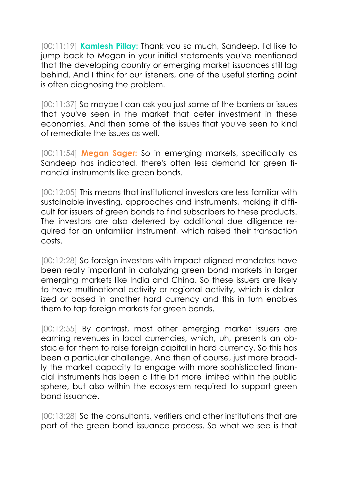[00:11:19] **Kamlesh Pillay:** Thank you so much, Sandeep, I'd like to jump back to Megan in your initial statements you've mentioned that the developing country or emerging market issuances still lag behind. And I think for our listeners, one of the useful starting point is often diagnosing the problem.

[00:11:37] So maybe I can ask you just some of the barriers or issues that you've seen in the market that deter investment in these economies. And then some of the issues that you've seen to kind of remediate the issues as well.

[00:11:54] **Megan Sager:** So in emerging markets, specifically as Sandeep has indicated, there's often less demand for green financial instruments like green bonds.

[00:12:05] This means that institutional investors are less familiar with sustainable investing, approaches and instruments, making it difficult for issuers of green bonds to find subscribers to these products. The investors are also deterred by additional due diligence required for an unfamiliar instrument, which raised their transaction costs.

[00:12:28] So foreign investors with impact aligned mandates have been really important in catalyzing green bond markets in larger emerging markets like India and China. So these issuers are likely to have multinational activity or regional activity, which is dollarized or based in another hard currency and this in turn enables them to tap foreign markets for green bonds.

[00:12:55] By contrast, most other emerging market issuers are earning revenues in local currencies, which, uh, presents an obstacle for them to raise foreign capital in hard currency. So this has been a particular challenge. And then of course, just more broadly the market capacity to engage with more sophisticated financial instruments has been a little bit more limited within the public sphere, but also within the ecosystem required to support green bond issuance.

[00:13:28] So the consultants, verifiers and other institutions that are part of the green bond issuance process. So what we see is that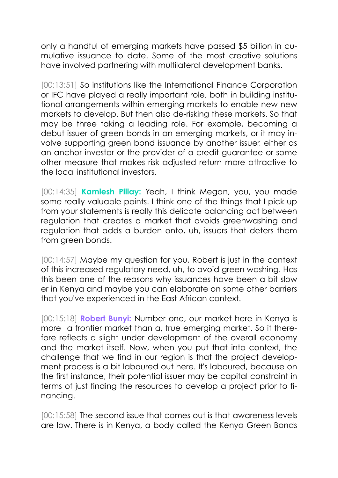only a handful of emerging markets have passed \$5 billion in cumulative issuance to date. Some of the most creative solutions have involved partnering with multilateral development banks.

[00:13:51] So institutions like the International Finance Corporation or IFC have played a really important role, both in building institutional arrangements within emerging markets to enable new new markets to develop. But then also de-risking these markets. So that may be three taking a leading role. For example, becoming a debut issuer of green bonds in an emerging markets, or it may involve supporting green bond issuance by another issuer, either as an anchor investor or the provider of a credit guarantee or some other measure that makes risk adjusted return more attractive to the local institutional investors.

[00:14:35] **Kamlesh Pillay:** Yeah, I think Megan, you, you made some really valuable points. I think one of the things that I pick up from your statements is really this delicate balancing act between regulation that creates a market that avoids greenwashing and regulation that adds a burden onto, uh, issuers that deters them from green bonds.

[00:14:57] Maybe my question for you, Robert is just in the context of this increased regulatory need, uh, to avoid green washing. Has this been one of the reasons why issuances have been a bit slow er in Kenya and maybe you can elaborate on some other barriers that you've experienced in the East African context.

[00:15:18] **Robert Bunyi:** Number one, our market here in Kenya is more a frontier market than a, true emerging market. So it therefore reflects a slight under development of the overall economy and the market itself. Now, when you put that into context, the challenge that we find in our region is that the project development process is a bit laboured out here. It's laboured, because on the first instance, their potential issuer may be capital constraint in terms of just finding the resources to develop a project prior to financing.

[00:15:58] The second issue that comes out is that awareness levels are low. There is in Kenya, a body called the Kenya Green Bonds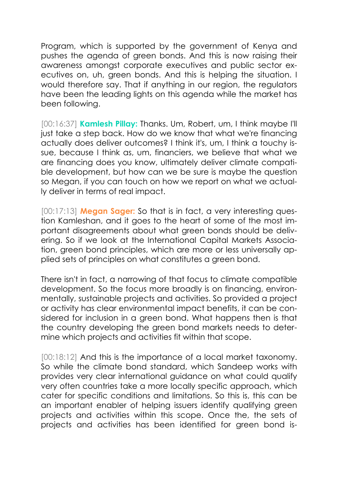Program, which is supported by the government of Kenya and pushes the agenda of green bonds. And this is now raising their awareness amongst corporate executives and public sector executives on, uh, green bonds. And this is helping the situation. I would therefore say. That if anything in our region, the regulators have been the leading lights on this agenda while the market has been following.

[00:16:37] **Kamlesh Pillay:** Thanks. Um, Robert, um, I think maybe I'll just take a step back. How do we know that what we're financing actually does deliver outcomes? I think it's, um, I think a touchy issue, because I think as, um, financiers, we believe that what we are financing does you know, ultimately deliver climate compatible development, but how can we be sure is maybe the question so Megan, if you can touch on how we report on what we actually deliver in terms of real impact.

[00:17:13] **Megan Sager:** So that is in fact, a very interesting question Kamleshan, and it goes to the heart of some of the most important disagreements about what green bonds should be delivering. So if we look at the International Capital Markets Association, green bond principles, which are more or less universally applied sets of principles on what constitutes a green bond.

There isn't in fact, a narrowing of that focus to climate compatible development. So the focus more broadly is on financing, environmentally, sustainable projects and activities. So provided a project or activity has clear environmental impact benefits, it can be considered for inclusion in a green bond. What happens then is that the country developing the green bond markets needs to determine which projects and activities fit within that scope.

[00:18:12] And this is the importance of a local market taxonomy. So while the climate bond standard, which Sandeep works with provides very clear international guidance on what could qualify very often countries take a more locally specific approach, which cater for specific conditions and limitations. So this is, this can be an important enabler of helping issuers identify qualifying green projects and activities within this scope. Once the, the sets of projects and activities has been identified for green bond is-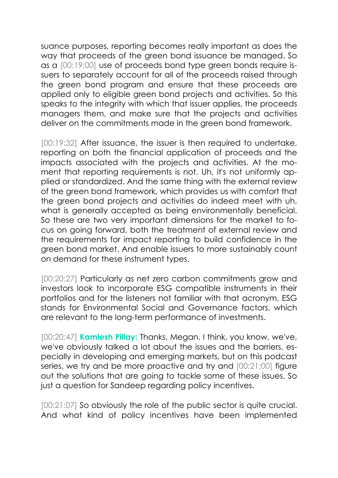suance purposes, reporting becomes really important as does the way that proceeds of the green bond issuance be managed. So as a [00:19:00] use of proceeds bond type green bonds require issuers to separately account for all of the proceeds raised through the green bond program and ensure that these proceeds are applied only to eligible green bond projects and activities. So this speaks to the integrity with which that issuer applies, the proceeds managers them, and make sure that the projects and activities deliver on the commitments made in the green bond framework.

[00:19:32] After issuance, the issuer is then required to undertake, reporting on both the financial application of proceeds and the impacts associated with the projects and activities. At the moment that reporting requirements is not. Uh, it's not uniformly applied or standardized. And the same thing with the external review of the green bond framework, which provides us with comfort that the green bond projects and activities do indeed meet with uh, what is generally accepted as being environmentally beneficial. So these are two very important dimensions for the market to focus on going forward, both the treatment of external review and the requirements for impact reporting to build confidence in the green bond market. And enable issuers to more sustainably count on demand for these instrument types.

[00:20:27] Particularly as net zero carbon commitments grow and investors look to incorporate ESG compatible instruments in their portfolios and for the listeners not familiar with that acronym. ESG stands for Environmental Social and Governance factors, which are relevant to the long-term performance of investments.

[00:20:47] **Kamlesh Pillay:** Thanks, Megan. I think, you know, we've, we've obviously talked a lot about the issues and the barriers, especially in developing and emerging markets, but on this podcast series, we try and be more proactive and try and [00:21:00] figure out the solutions that are going to tackle some of these issues. So just a question for Sandeep regarding policy incentives.

[00:21:07] So obviously the role of the public sector is quite crucial. And what kind of policy incentives have been implemented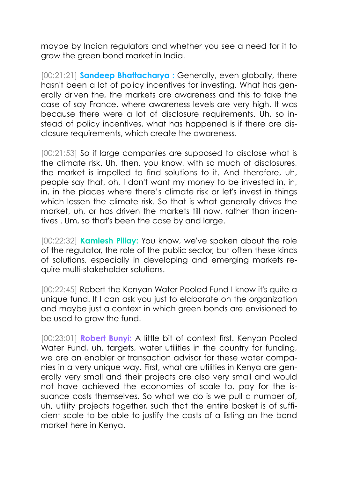maybe by Indian regulators and whether you see a need for it to grow the green bond market in India.

[00:21:21] **Sandeep Bhattacharya :** Generally, even globally, there hasn't been a lot of policy incentives for investing. What has generally driven the, the markets are awareness and this to take the case of say France, where awareness levels are very high. It was because there were a lot of disclosure requirements. Uh, so instead of policy incentives, what has happened is if there are disclosure requirements, which create the awareness.

[00:21:53] So if large companies are supposed to disclose what is the climate risk. Uh, then, you know, with so much of disclosures, the market is impelled to find solutions to it. And therefore, uh, people say that, oh, I don't want my money to be invested in, in, in, in the places where there's climate risk or let's invest in things which lessen the climate risk. So that is what generally drives the market, uh, or has driven the markets till now, rather than incentives . Um, so that's been the case by and large.

[00:22:32] **Kamlesh Pillay:** You know, we've spoken about the role of the regulator, the role of the public sector, but often these kinds of solutions, especially in developing and emerging markets require multi-stakeholder solutions.

[00:22:45] Robert the Kenyan Water Pooled Fund I know it's quite a unique fund. If I can ask you just to elaborate on the organization and maybe just a context in which green bonds are envisioned to be used to grow the fund.

[00:23:01] **Robert Bunyi:** A little bit of context first. Kenyan Pooled Water Fund, uh, targets, water utilities in the country for funding, we are an enabler or transaction advisor for these water companies in a very unique way. First, what are utilities in Kenya are generally very small and their projects are also very small and would not have achieved the economies of scale to. pay for the issuance costs themselves. So what we do is we pull a number of, uh, utility projects together, such that the entire basket is of sufficient scale to be able to justify the costs of a listing on the bond market here in Kenya.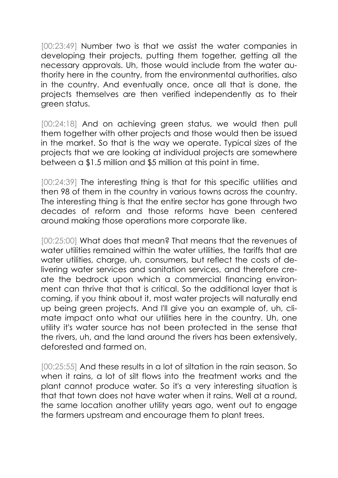[00:23:49] Number two is that we assist the water companies in developing their projects, putting them together, getting all the necessary approvals. Uh, those would include from the water authority here in the country, from the environmental authorities, also in the country. And eventually once, once all that is done, the projects themselves are then verified independently as to their green status.

[00:24:18] And on achieving green status, we would then pull them together with other projects and those would then be issued in the market. So that is the way we operate. Typical sizes of the projects that we are looking at individual projects are somewhere between a \$1.5 million and \$5 million at this point in time.

[00:24:39] The interesting thing is that for this specific utilities and then 98 of them in the country in various towns across the country. The interesting thing is that the entire sector has gone through two decades of reform and those reforms have been centered around making those operations more corporate like.

[00:25:00] What does that mean? That means that the revenues of water utilities remained within the water utilities, the tariffs that are water utilities, charge, uh, consumers, but reflect the costs of delivering water services and sanitation services, and therefore create the bedrock upon which a commercial financing environment can thrive that that is critical. So the additional layer that is coming, if you think about it, most water projects will naturally end up being green projects. And I'll give you an example of, uh, climate impact onto what our utilities here in the country. Uh, one utility it's water source has not been protected in the sense that the rivers, uh, and the land around the rivers has been extensively, deforested and farmed on.

[00:25:55] And these results in a lot of siltation in the rain season. So when it rains, a lot of silt flows into the treatment works and the plant cannot produce water. So it's a very interesting situation is that that town does not have water when it rains. Well at a round, the same location another utility years ago, went out to engage the farmers upstream and encourage them to plant trees.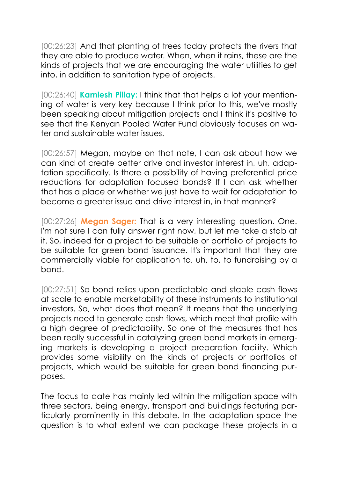[00:26:23] And that planting of trees today protects the rivers that they are able to produce water. When, when it rains, these are the kinds of projects that we are encouraging the water utilities to get into, in addition to sanitation type of projects.

[00:26:40] **Kamlesh Pillay:** I think that that helps a lot your mentioning of water is very key because I think prior to this, we've mostly been speaking about mitigation projects and I think it's positive to see that the Kenyan Pooled Water Fund obviously focuses on water and sustainable water issues.

[00:26:57] Megan, maybe on that note, I can ask about how we can kind of create better drive and investor interest in, uh, adaptation specifically. Is there a possibility of having preferential price reductions for adaptation focused bonds? If I can ask whether that has a place or whether we just have to wait for adaptation to become a greater issue and drive interest in, in that manner?

[00:27:26] **Megan Sager:** That is a very interesting question. One. I'm not sure I can fully answer right now, but let me take a stab at it. So, indeed for a project to be suitable or portfolio of projects to be suitable for green bond issuance. It's important that they are commercially viable for application to, uh, to, to fundraising by a bond.

[00:27:51] So bond relies upon predictable and stable cash flows at scale to enable marketability of these instruments to institutional investors. So, what does that mean? It means that the underlying projects need to generate cash flows, which meet that profile with a high degree of predictability. So one of the measures that has been really successful in catalyzing green bond markets in emerging markets is developing a project preparation facility. Which provides some visibility on the kinds of projects or portfolios of projects, which would be suitable for green bond financing purposes.

The focus to date has mainly led within the mitigation space with three sectors, being energy, transport and buildings featuring particularly prominently in this debate. In the adaptation space the question is to what extent we can package these projects in a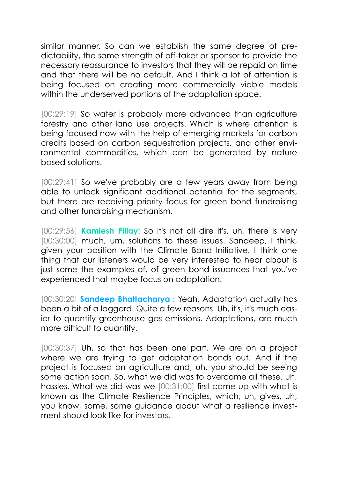similar manner. So can we establish the same degree of predictability, the same strength of off-taker or sponsor to provide the necessary reassurance to investors that they will be repaid on time and that there will be no default. And I think a lot of attention is being focused on creating more commercially viable models within the underserved portions of the adaptation space.

[00:29:19] So water is probably more advanced than agriculture forestry and other land use projects. Which is where attention is being focused now with the help of emerging markets for carbon credits based on carbon sequestration projects, and other environmental commodities, which can be generated by nature based solutions.

[00:29:41] So we've probably are a few years away from being able to unlock significant additional potential for the segments, but there are receiving priority focus for green bond fundraising and other fundraising mechanism.

[00:29:56] **Kamlesh Pillay:** So it's not all dire it's, uh, there is very [00:30:00] much, um, solutions to these issues. Sandeep, I think, given your position with the Climate Bond Initiative. I think one thing that our listeners would be very interested to hear about is just some the examples of, of green bond issuances that you've experienced that maybe focus on adaptation.

[00:30:20] **Sandeep Bhattacharya :** Yeah. Adaptation actually has been a bit of a laggard. Quite a few reasons. Uh, it's, it's much easier to quantify greenhouse gas emissions. Adaptations, are much more difficult to quantify.

[00:30:37] Uh, so that has been one part. We are on a project where we are trying to get adaptation bonds out. And if the project is focused on agriculture and, uh, you should be seeing some action soon. So, what we did was to overcome all these, uh, hassles. What we did was we [00:31:00] first came up with what is known as the Climate Resilience Principles, which, uh, gives, uh, you know, some, some guidance about what a resilience investment should look like for investors.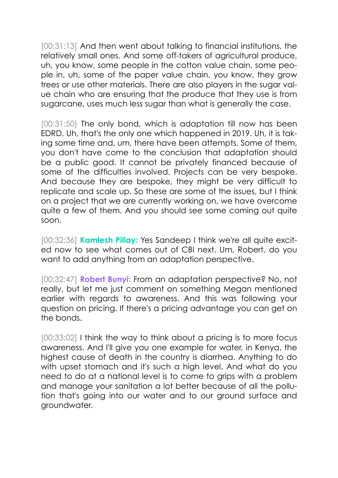[00:31:13] And then went about talking to financial institutions, the relatively small ones. And some off-takers of agricultural produce, uh, you know, some people in the cotton value chain, some people in, uh, some of the paper value chain, you know, they grow trees or use other materials. There are also players in the sugar value chain who are ensuring that the produce that they use is from sugarcane, uses much less sugar than what is generally the case.

[00:31:50] The only bond, which is adaptation till now has been EDRD. Uh, that's the only one which happened in 2019. Uh, it is taking some time and, um, there have been attempts. Some of them, you don't have come to the conclusion that adaptation should be a public good. It cannot be privately financed because of some of the difficulties involved. Projects can be very bespoke. And because they are bespoke, they might be very difficult to replicate and scale up. So these are some of the issues, but I think on a project that we are currently working on, we have overcome quite a few of them. And you should see some coming out quite soon.

[00:32:36] **Kamlesh Pillay:** Yes Sandeep I think we're all quite excited now to see what comes out of CBI next. Um, Robert, do you want to add anything from an adaptation perspective.

[00:32:47] **Robert Bunyi:** From an adaptation perspective? No, not really, but let me just comment on something Megan mentioned earlier with regards to awareness. And this was following your question on pricing. If there's a pricing advantage you can get on the bonds.

[00:33:02] I think the way to think about a pricing is to more focus awareness. And I'll give you one example for water, in Kenya, the highest cause of death in the country is diarrhea. Anything to do with upset stomach and it's such a high level. And what do you need to do at a national level is to come to grips with a problem and manage your sanitation a lot better because of all the pollution that's going into our water and to our ground surface and groundwater.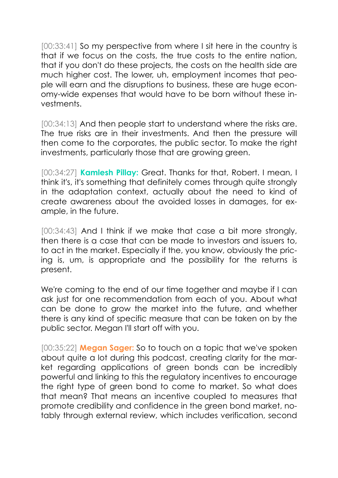[00:33:41] So my perspective from where I sit here in the country is that if we focus on the costs, the true costs to the entire nation, that if you don't do these projects, the costs on the health side are much higher cost. The lower, uh, employment incomes that people will earn and the disruptions to business, these are huge economy-wide expenses that would have to be born without these investments.

[00:34:13] And then people start to understand where the risks are. The true risks are in their investments. And then the pressure will then come to the corporates, the public sector. To make the right investments, particularly those that are growing green.

[00:34:27] **Kamlesh Pillay:** Great. Thanks for that, Robert. I mean, I think it's, it's something that definitely comes through quite strongly in the adaptation context, actually about the need to kind of create awareness about the avoided losses in damages, for example, in the future.

[00:34:43] And I think if we make that case a bit more strongly, then there is a case that can be made to investors and issuers to, to act in the market. Especially if the, you know, obviously the pricing is, um, is appropriate and the possibility for the returns is present.

We're coming to the end of our time together and maybe if I can ask just for one recommendation from each of you. About what can be done to grow the market into the future, and whether there is any kind of specific measure that can be taken on by the public sector. Megan I'll start off with you.

[00:35:22] **Megan Sager:** So to touch on a topic that we've spoken about quite a lot during this podcast, creating clarity for the market regarding applications of green bonds can be incredibly powerful and linking to this the regulatory incentives to encourage the right type of green bond to come to market. So what does that mean? That means an incentive coupled to measures that promote credibility and confidence in the green bond market, notably through external review, which includes verification, second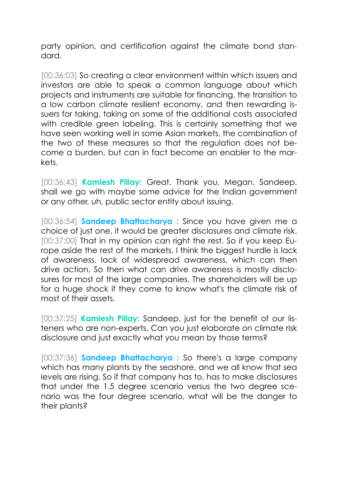party opinion, and certification against the climate bond standard.

[00:36:03] So creating a clear environment within which issuers and investors are able to speak a common language about which projects and instruments are suitable for financing, the transition to a low carbon climate resilient economy, and then rewarding issuers for taking, taking on some of the additional costs associated with credible green labeling. This is certainly something that we have seen working well in some Asian markets, the combination of the two of these measures so that the regulation does not become a burden, but can in fact become an enabler to the markets.

[00:36:43] **Kamlesh Pillay:** Great. Thank you, Megan. Sandeep, shall we go with maybe some advice for the Indian government or any other, uh, public sector entity about issuing.

[00:36:54] **Sandeep Bhattacharya :** Since you have given me a choice of just one, it would be greater disclosures and climate risk. [00:37:00] That in my opinion can right the rest. So if you keep Europe aside the rest of the markets, I think the biggest hurdle is lack of awareness, lack of widespread awareness, which can then drive action. So then what can drive awareness is mostly disclosures for most of the large companies. The shareholders will be up for a huge shock if they come to know what's the climate risk of most of their assets.

[00:37:25] **Kamlesh Pillay:** Sandeep, just for the benefit of our listeners who are non-experts. Can you just elaborate on climate risk disclosure and just exactly what you mean by those terms?

[00:37:36] **Sandeep Bhattacharya :** So there's a large company which has many plants by the seashore, and we all know that sea levels are rising. So if that company has to, has to make disclosures that under the 1.5 degree scenario versus the two degree scenario was the four degree scenario, what will be the danger to their plants?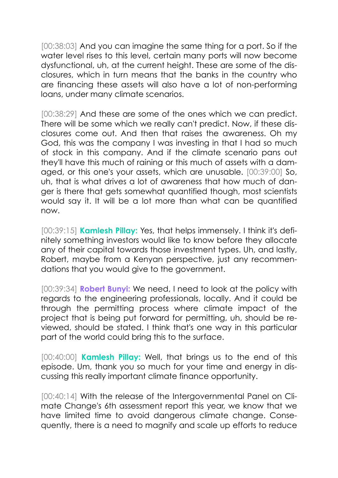[00:38:03] And you can imagine the same thing for a port. So if the water level rises to this level, certain many ports will now become dysfunctional, uh, at the current height. These are some of the disclosures, which in turn means that the banks in the country who are financing these assets will also have a lot of non-performing loans, under many climate scenarios.

[00:38:29] And these are some of the ones which we can predict. There will be some which we really can't predict. Now, if these disclosures come out. And then that raises the awareness. Oh my God, this was the company I was investing in that I had so much of stock in this company. And if the climate scenario pans out they'll have this much of raining or this much of assets with a damaged, or this one's your assets, which are unusable. [00:39:00] So, uh, that is what drives a lot of awareness that how much of danger is there that gets somewhat quantified though, most scientists would say it. It will be a lot more than what can be quantified now.

[00:39:15] **Kamlesh Pillay:** Yes, that helps immensely. I think it's definitely something investors would like to know before they allocate any of their capital towards those investment types. Uh, and lastly, Robert, maybe from a Kenyan perspective, just any recommendations that you would give to the government.

[00:39:34] **Robert Bunyi:** We need, I need to look at the policy with regards to the engineering professionals, locally. And it could be through the permitting process where climate impact of the project that is being put forward for permitting, uh, should be reviewed, should be stated. I think that's one way in this particular part of the world could bring this to the surface.

[00:40:00] **Kamlesh Pillay:** Well, that brings us to the end of this episode. Um, thank you so much for your time and energy in discussing this really important climate finance opportunity.

[00:40:14] With the release of the Intergovernmental Panel on Climate Change's 6th assessment report this year, we know that we have limited time to avoid dangerous climate change. Consequently, there is a need to magnify and scale up efforts to reduce